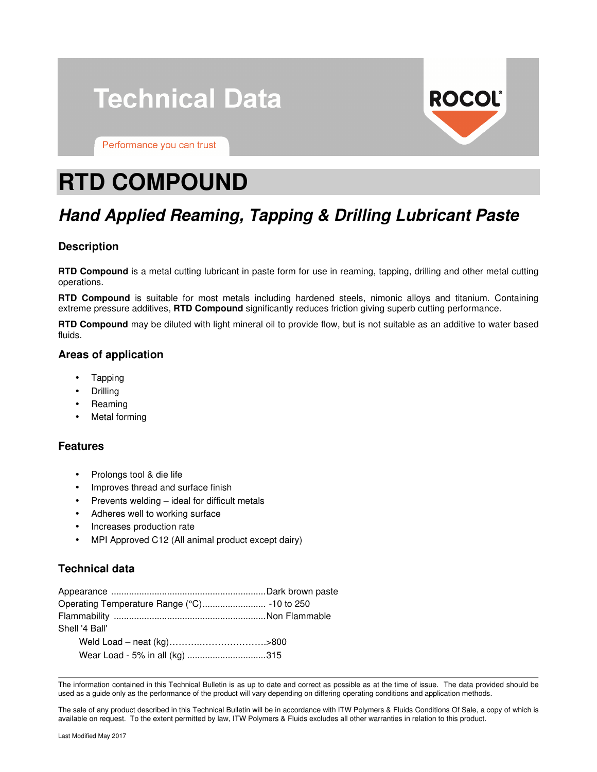# **Technical Data**



Performance you can trust

# **RTD COMPOUND**

# **Hand Applied Reaming, Tapping & Drilling Lubricant Paste**

# **Description**

**RTD Compound** is a metal cutting lubricant in paste form for use in reaming, tapping, drilling and other metal cutting operations.

**RTD Compound** is suitable for most metals including hardened steels, nimonic alloys and titanium. Containing extreme pressure additives, **RTD Compound** significantly reduces friction giving superb cutting performance.

**RTD Compound** may be diluted with light mineral oil to provide flow, but is not suitable as an additive to water based fluids.

## **Areas of application**

- Tapping
- Drilling
- Reaming
- Metal forming

## **Features**

- Prolongs tool & die life
- Improves thread and surface finish
- Prevents welding ideal for difficult metals
- Adheres well to working surface
- Increases production rate
- MPI Approved C12 (All animal product except dairy)

# **Technical data**

| Shell '4 Ball'                 |  |
|--------------------------------|--|
|                                |  |
| Wear Load - 5% in all (kg) 315 |  |

The information contained in this Technical Bulletin is as up to date and correct as possible as at the time of issue. The data provided should be used as a guide only as the performance of the product will vary depending on differing operating conditions and application methods.

The sale of any product described in this Technical Bulletin will be in accordance with ITW Polymers & Fluids Conditions Of Sale, a copy of which is available on request. To the extent permitted by law, ITW Polymers & Fluids excludes all other warranties in relation to this product.